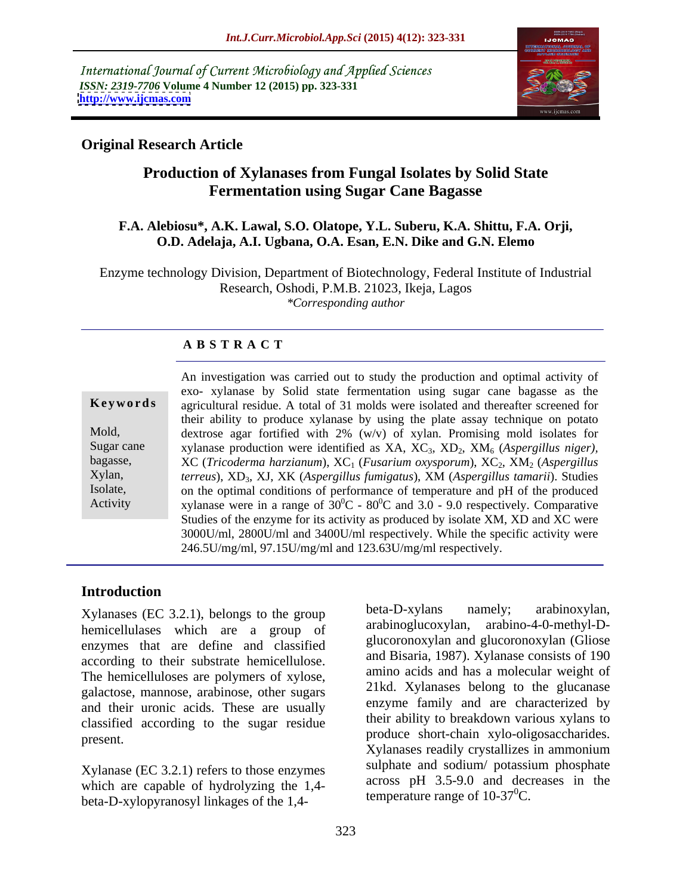International Journal of Current Microbiology and Applied Sciences *ISSN: 2319-7706* **Volume 4 Number 12 (2015) pp. 323-331 <http://www.ijcmas.com>**



### **Original Research Article**

## **Production of Xylanases from Fungal Isolates by Solid State Fermentation using Sugar Cane Bagasse**

#### **F.A. Alebiosu\*, A.K. Lawal, S.O. Olatope, Y.L. Suberu, K.A. Shittu, F.A. Orji, O.D. Adelaja, A.I. Ugbana, O.A. Esan, E.N. Dike and G.N. Elemo**

Enzyme technology Division, Department of Biotechnology, Federal Institute of Industrial Research, Oshodi, P.M.B. 21023, Ikeja, Lagos *\*Corresponding author*

### **A B S T R A C T**

|            | An investigation was carried out to study the production and optimal activity of                                                                                              |  |  |  |
|------------|-------------------------------------------------------------------------------------------------------------------------------------------------------------------------------|--|--|--|
|            | exo- xylanase by Solid state fermentation using sugar cane bagasse as the                                                                                                     |  |  |  |
| Keywords   | agricultural residue. A total of 31 molds were isolated and thereafter screened for                                                                                           |  |  |  |
| Mold,      | their ability to produce xylanase by using the plate assay technique on potato                                                                                                |  |  |  |
| Sugar cane | dextrose agar fortified with $2\%$ (w/v) of xylan. Promising mold isolates for<br>xylanase production were identified as $XA$ , $XC_3$ , $XD_2$ , $XM_6$ (Aspergillus niger), |  |  |  |
| bagasse,   | $XC$ (Tricoderma harzianum), $XC_1$ (Fusarium oxysporum), $XC_2$ , $XM_2$ (Aspergillus                                                                                        |  |  |  |
| Xylan,     | terreus), XD <sub>3</sub> , XJ, XK (Aspergillus fumigatus), XM (Aspergillus tamarii). Studies                                                                                 |  |  |  |
| Isolate.   | on the optimal conditions of performance of temperature and pH of the produced                                                                                                |  |  |  |
| Activity   | xylanase were in a range of $30^0C - 80^0C$ and 3.0 - 9.0 respectively. Comparative                                                                                           |  |  |  |
|            | Studies of the enzyme for its activity as produced by isolate XM, XD and XC were                                                                                              |  |  |  |
|            | 3000U/ml, 2800U/ml and 3400U/ml respectively. While the specific activity were                                                                                                |  |  |  |
|            | 246.5U/mg/ml, 97.15U/mg/ml and 123.63U/mg/ml respectively.                                                                                                                    |  |  |  |

#### **Introduction**

hemicellulases which are a group of enzymes that are define and classified according to their substrate hemicellulose. The hemicelluloses are polymers of xylose, galactose, mannose, arabinose, other sugars and their uronic acids. These are usually classified according to the sugar residue

Xylanase (EC 3.2.1) refers to those enzymes which are capable of hydrolyzing the 1,4-

Xylanases (EC 3.2.1), belongs to the group beta-D-xylans namely; arabinoxylan, homically losses which are a group of arabinoglucoxylan, arabino-4-0-methyl-Dproduce short-chain xylo-oligosaccharides. Xylanases (EC 3.2.1), belongs to the group<br>hemicellulases which are a group of arabinoglucoxylan, arabino-4-0-methyl-D-<br>enzymes that are define and classified glucoronoxylan and glucoronoxylan (Gliose<br>according to their s arabino-4-0-methyl-Dglucoronoxylan and glucoronoxylan (Gliose and Bisaria, 1987). Xylanase consists of 190 amino acids and has a molecular weight of 21kd. Xylanases belong to the glucanase enzyme family and are characterized by their ability to breakdown various xylans to Xylanases readily crystallizes in ammonium sulphate and sodium/ potassium phosphate across pH 3.5-9.0 and decreases in the temperature range of  $10-37^0C$ .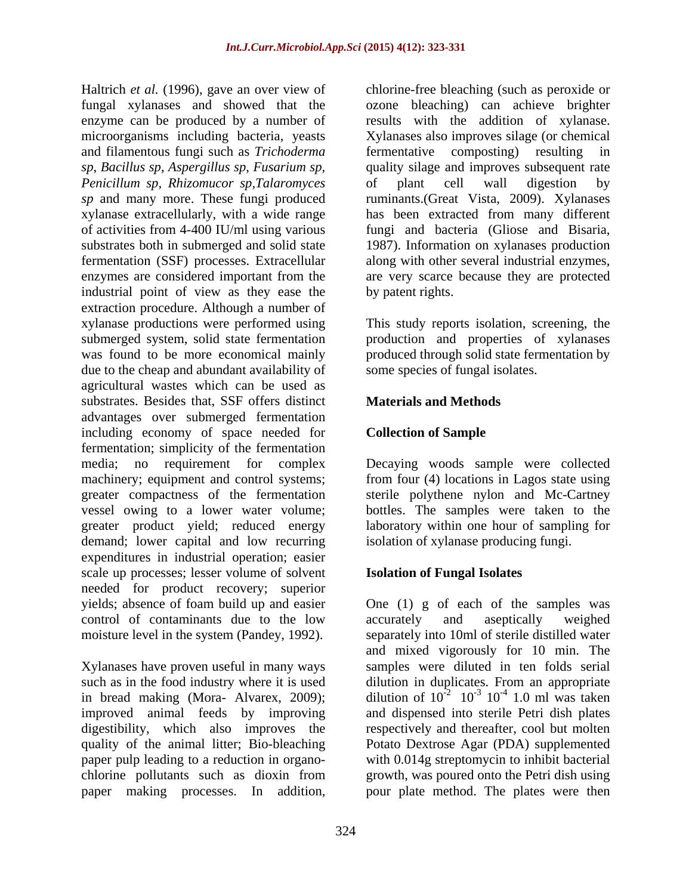Haltrich *et al.* (1996), gave an over view of chlorine-free bleaching (such as peroxide or fungal xylanases and showed that the ozone bleaching) can achieve brighter enzyme can be produced by a number of microorganisms including bacteria, yeasts Xylanases also improves silage (or chemical and filamentous fungi such as *Trichoderma sp*, *Bacillus sp*, *Aspergillus sp*, *Fusarium sp, Penicillum sp, Rhizomucor sp,Talaromyces sp* and many more. These fungi produced ruminants.(Great Vista, 2009). Xylanases xylanase extracellularly, with a wide range hasbeen extracted from many different of activities from 4-400 IU/ml using various fungi and bacteria (Gliose and Bisaria, substrates both in submerged and solid state 1987). Information on xylanases production fermentation (SSF) processes. Extracellular along with other several industrial enzymes, enzymes are considered important from the are very scarce because they are protected industrial point of view as they ease the extraction procedure. Although a number of xylanase productions were performed using This study reports isolation, screening, the submerged system, solid state fermentation production and properties of xylanases was found to be more economical mainly produced through solid state fermentation by due to the cheap and abundant availability of agricultural wastes which can be used as substrates. Besides that, SSF offers distinct advantages over submerged fermentation including economy of space needed for **Collection of Sample** fermentation; simplicity of the fermentation media; no requirement for complex Decaying woods sample were collected machinery; equipment and control systems; from four (4) locations in Lagos state using greater compactness of the fermentation sterile polythene nylon and Mc-Cartney vessel owing to a lower water volume; bottles. The samples were taken to the greater product yield; reduced energy demand; lower capital and low recurring expenditures in industrial operation; easier scale up processes; lesser volume of solvent needed for product recovery; superior yields; absence of foam build up and easier One (1) g of each of the samples was control of contaminants due to the low moisture level in the system (Pandey, 1992).

Xylanases have proven useful in many ways such as in the food industry where it is used dilution in duplicates. From an appropriate in bread making (Mora- Alvarex, 2009); dilution of  $10^{-2}$   $10^{-3}$   $10^{-4}$  1.0 ml was taken improved animal feeds by improving<br>digestibility, which also improves the digestibility, which also improves the respectively and thereafter, cool but molten quality of the animal litter; Bio-bleaching Potato Dextrose Agar (PDA) supplemented paper pulp leading to a reduction in organo- with 0.014g streptomycin to inhibit bacterial chlorine pollutants such as dioxin from growth, was poured onto the Petri dish using paper making processes. In addition, pour plate method. The plates were then

results with the addition of xylanase. fermentative composting) resulting in quality silage and improves subsequent rate of plant cell wall digestion by by patent rights.

some species of fungal isolates.

## **Materials and Methods**

## **Collection of Sample**

laboratory within one hour of sampling for isolation of xylanase producing fungi.

#### **Isolation of Fungal Isolates**

accurately and aseptically weighed separately into 10ml of sterile distilled water and mixed vigorously for 10 min. The samples were diluted in ten folds serial  $10^{-4}$  1.0 ml was taken  $-4$  1.0 ml westeken 1.0 ml was taken and dispensed into sterile Petri dish plates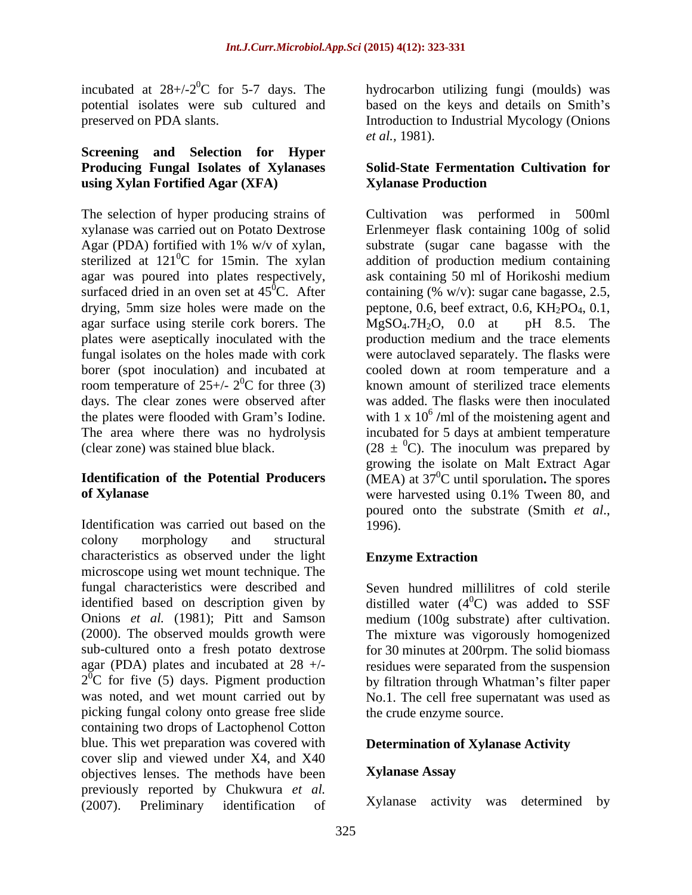incubated at  $28+/2$ <sup>0</sup>C for 5-7 days. The incubated at  $28+/2^0C$  for 5-7 days. The bydrocarbon utilizing fungi (moulds) was potential isolates were sub cultured and based on the keys and details on Smith's

#### **Screening and Selection for Hyper Producing Fungal Isolates of Xylanases using Xylan Fortified Agar (XFA)**

sterilized at  $121^{\circ}$ C for 15min. The xylan agar was poured into plates respectively, ask containing 50 ml of Horikoshi medium agar surface using sterile cork borers. The  $MgSO<sub>4</sub>$ .7H<sub>2</sub>O, 0.0 at pH 8.5. The borer (spot inoculation) and incubated at room temperature of  $25+/2$ <sup>0</sup>C for three (3) days. The clear zones were observed after

Identification was carried out based on the 1996). colony morphology and structural characteristics as observed under the light Enzyme Extraction microscope using wet mount technique. The fungal characteristics were described and Seven hundred millilitres of cold sterile identified based on description given by distilled water (4<sup>0</sup>C) was added to SSF Onions *et al.* (1981); Pitt and Samson medium (100g substrate) after cultivation. (2000). The observed moulds growth were The mixture was vigorously homogenized sub-cultured onto a fresh potato dextrose for 30 minutes at 200rpm. The solid biomass agar (PDA) plates and incubated at  $28 +/-$  residues were separated from the suspension  $2^{\circ}$ C for five (5) days. Pigment production by filtration through Whatman's filter paper  $2^{0}C$  for five (5) days. Pigment production was noted, and wet mount carried out by No.1. The cell free supernatant was used as picking fungal colony onto grease free slide containing two drops of Lactophenol Cotton blue. This wet preparation was covered with cover slip and viewed under X4, and X40<br>
objectives lenses The methods have been **Xylanase Assay** objectives lenses. The methods have been previously reported by Chukwura *et al.* (2007). Preliminary identification of

preserved on PDA slants. Introduction to Industrial Mycology (Onions hydrocarbon utilizing fungi (moulds) was based on the keys and details on Smith's *et al.,* 1981).

#### **Solid-State Fermentation Cultivation for Xylanase Production**

The selection of hyper producing strains of Cultivation was performed in 500ml xylanase was carried out on Potato Dextrose Erlenmeyer flask containing 100g of solid Agar (PDA) fortified with 1% w/v of xylan, substrate (sugar cane bagasse with the <sup>0</sup>C for 15min. The xylan addition of production medium containing surfaced dried in an oven set at  $45^{\circ}$ C. After containing (% w/v): sugar cane bagasse, 2.5, drying, 5mm size holes were made on the peptone, 0.6, beef extract, 0.6,  $KH_2PO_4$ , 0.1, plates were aseptically inoculated with the production medium and the trace elements fungal isolates on the holes made with cork were autoclaved separately. The flasks were  ${}^{0}C$  for three (3) known amount of sterilized trace elements the plates were flooded with Gram's Iodine. with  $1 \times 10^6$  /ml of the moistening agent and The area where there was no hydrolysis incubated for 5 days at ambient temperature (clear zone) was stained blue black.  $(28 \pm {}^{0}C)$ . The inoculum was prepared by **Identification of the Potential Producers** (MEA) at 37 **of Xylanase** were harvested using 0.1% Tween 80, and ask containing 50 ml of Horikoshi medium  $MgSO<sub>4</sub>.7H<sub>2</sub>O$ , 0.0 at pH 8.5. The cooled down at room temperature and a was added. The flasks were then inoculated growing the isolate on Malt Extract Agar 0C until sporulation**.** The spores poured onto the substrate (Smith *et al*., 1996).

## **Enzyme Extraction**

the crude enzyme source.

#### **Determination of Xylanase Activity**

#### **Xylanase Assay**

Xylanase activity was determined by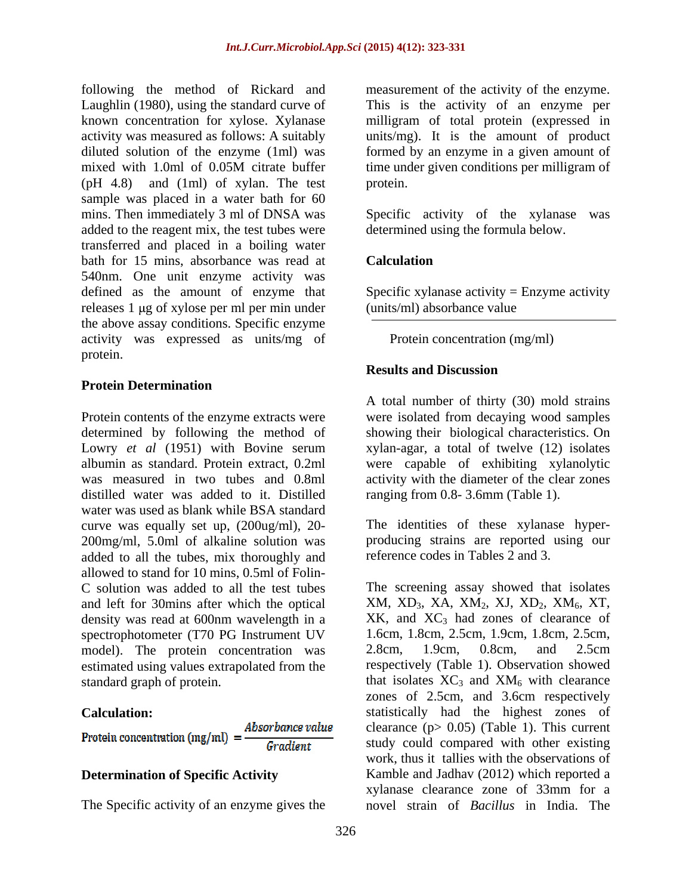following the method of Rickard and measurement of the activity of the enzyme. Laughlin (1980), using the standard curve of This is the activity of an enzyme per known concentration for xylose. Xylanase milligram of total protein (expressed in activity was measured as follows: A suitably units/mg). It is the amount of product diluted solution of the enzyme (1ml) was formed by an enzyme in a given amount of mixed with 1.0ml of 0.05M citrate buffer time under given conditions per milligram of (pH 4.8) and (1ml) of xylan. The test sample was placed in a water bath for 60 mins. Then immediately 3 ml of DNSA was Specific activity of the xylanase was added to the reagent mix, the test tubes were transferred and placed in a boiling water bath for 15 mins, absorbance was read at **Calculation** 540nm. One unit enzyme activity was defined as the amount of enzyme that Specific xylanase activity = Enzyme activity releases 1 μg of xylose per ml per min under the above assay conditions. Specific enzyme activity was expressed as units/mg of protein.

#### **Protein Determination**

Protein contents of the enzyme extracts were were isolated from decaying wood samples determined by following the method of showing their biological characteristics. On Lowry *et al* (1951) with Bovine serum xylan-agar, a total of twelve (12) isolates albumin as standard. Protein extract, 0.2ml were capable of exhibiting xylanolytic was measured in two tubes and 0.8ml activity with the diameter of the clear zones distilled water was added to it. Distilled ranging from 0.8- 3.6mm (Table 1). water was used as blank while BSA standard curve was equally set up, (200ug/ml), 20- 200mg/ml, 5.0ml of alkaline solution was added to all the tubes, mix thoroughly and allowed to stand for 10 mins, 0.5ml of Folin density was read at 600nm wavelength in a spectrophotometer (T70 PG Instrument UV 1.6cm, 1.8cm, 2.5cm, 1.9cm, 1.8cm, 2.5cm, nodel) The protein concentration was 2.8cm 1.9cm 0.8cm and 2.5cm model). The protein concentration was estimated using values extrapolated from the

The Specific activity of an enzyme gives the

time under given conditions per milligram of protein.

Specific activity of the xylanase determined using the formula below.

### **Calculation**

(units/ml) absorbance value

Protein concentration (mg/ml)<br> **Results and Discussion** 

A total number of thirty (30) mold strains

The identities of these xylanase hyper producing strains are reported using our reference codes in Tables 2 and 3.

C solution was added to all the test tubes The screening assay showed that isolates and left for 30mins after which the optical  $XM$ ,  $XD$ <sub>3</sub>,  $XA$ ,  $XM$ <sub>2</sub>,  $XJ$ ,  $XD$ <sub>2</sub>,  $XM$ <sub>6</sub>,  $XT$ , standard graph of protein.  $\mu$  that isolates  $XC_3$  and  $XM_6$  with clearance **Calculation:** statistically had the highest zones of **Determination of Specific Activity** Kamble and Jadhav (2012) which reported a  $XK$ , and  $XC_3$  had zones of clearance of 1.6cm, 1.8cm, 2.5cm, 1.9cm, 1.8cm, 2.5cm, 2.8cm, 1.9cm, 0.8cm, and 2.5cm respectively (Table 1). Observation showed zones of 2.5cm, and 3.6cm respectively clearance ( $p > 0.05$ ) (Table 1). This current study could compared with other existing work, thus it tallies with the observations of xylanase clearance zone of 33mm for a novel strain of *Bacillus* in India. The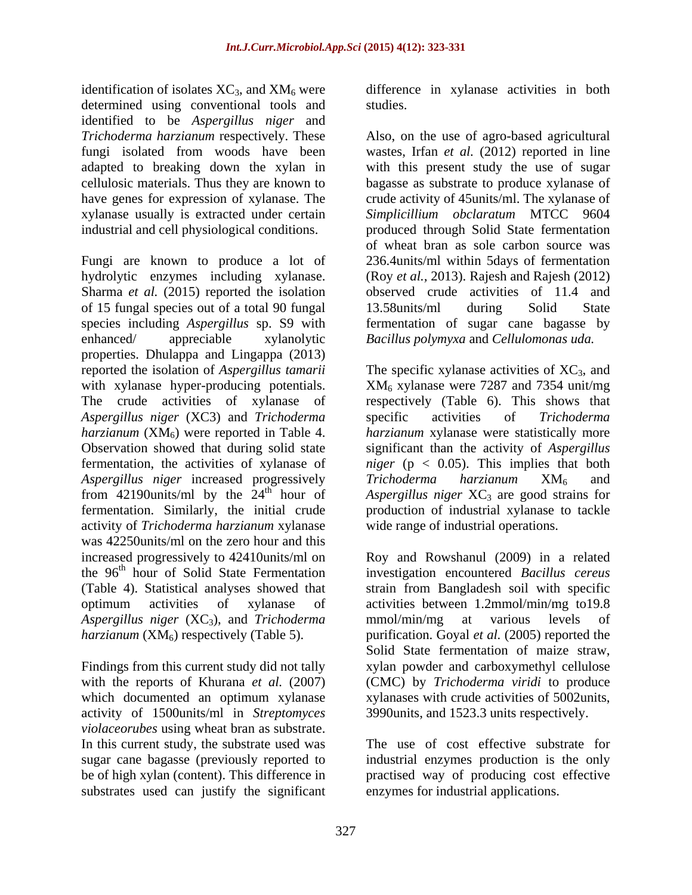identification of isolates  $XC_3$ , and  $XM_6$  were difference in xylanase activities in both determined using conventional tools and studies. identified to be *Aspergillus niger* and adapted to breaking down the xylan in industrial and cell physiological conditions.

Fungi are known to produce a lot of 236.4units/ml within 5days of fermentation hydrolytic enzymes including xylanase. Sharma *et al.* (2015) reported the isolation of 15 fungal species out of a total 90 fungal species including *Aspergillus* sp. S9 with enhanced/ appreciable xylanolytic *Bacillus polymyxa* and *Cellulomonas uda.* properties. Dhulappa and Lingappa (2013) reported the isolation of *Aspergillus tamarii* The specific xylanase activities of XC<sub>3</sub>, and with xylanase hyper-producing potentials.  $XM_6$  xylanase were 7287 and 7354 unit/mg The crude activities of xylanase of respectively (Table 6). This shows that *Aspergillus niger* (XC3) and *Trichoderma harzianum*  $(XM_6)$  were reported in Table 4. Observation showed that during solid state significant than the activity of *Aspergillus*  fermentation, the activities of xylanase of *niger* (p < 0.05). This implies that both *Aspergillus niger* increased progressively *Trichoderma harzianum*  $XM_6$  and from 42190units/ml by the  $24<sup>th</sup>$  hour of *Aspergillus niger*  $XC_3$  are good strains for from 42190 units/ml by the  $24<sup>th</sup>$  hour of Aspergillus niger XC<sub>3</sub> are good strains for fermentation. Similarly, the initial crude production of industrial xylanaseto tackle activity of *Trichoderma harzianum* xylanase was 42250units/ml on the zero hour and this increased progressively to 42410units/ml on<br>the 96<sup>th</sup> hour of Solid State Fermentation the 96 th hour of Solid State Fermentation investigation encountered *Bacillus cereus* (Table 4). Statistical analyses showed that strain from Bangladesh soil with specific optimum activities of xylanase of activities between 1.2mmol/min/mg to19.8 Aspergillus niger (XC<sub>3</sub>), and *Trichoderma* mmol/min/mg at various levels of *harzianum* (XM6) respectively (Table 5). purification. Goyal *et al.* (2005) reported the

Findings from this current study did not tally activity of 1500units/ml in *Streptomyces violaceorubes* using wheat bran as substrate. In this current study, the substrate used was sugar cane bagasse (previously reported to industrial enzymes production is the only be of high xylan (content). This difference in practised way of producing cost effective substrates used can justify the significant

studies.

*Trichoderma harzianum* respectively. These Also, on the use of agro-based agricultural fungi isolated from woods have been wastes, Irfan *et al.* (2012) reported in line cellulosic materials. Thus they are known to bagasse as substrate to produce xylanase of have genes for expression of xylanase. The crude activity of 45units/ml. The xylanase of xylanase usually is extracted under certain *Simplicillium obclaratum* MTCC 9604 with this present study the use of sugar produced through Solid State fermentation of wheat bran as sole carbon source was (Roy *et al.,* 2013). Rajesh and Rajesh (2012) observed crude activities of 11.4 and 13.58units/ml during Solid State fermentation of sugar cane bagasse by

> specific activities of *Trichoderma harzianum* xylanase were statistically more *Trichoderma harzianum* XM6 and wide range of industrial operations.

with the reports of Khurana *et al.* (2007) (CMC) by *Trichoderma viridi* to produce which documented an optimum xylanase vith crude activities of 5002 units, Roy and Rowshanul (2009) in a related mmol/min/mg at various levels of Solid State fermentation of maize straw, xylan powder and carboxymethyl cellulose 3990units, and 1523.3 units respectively.

> The use of cost effective substrate for enzymes for industrial applications.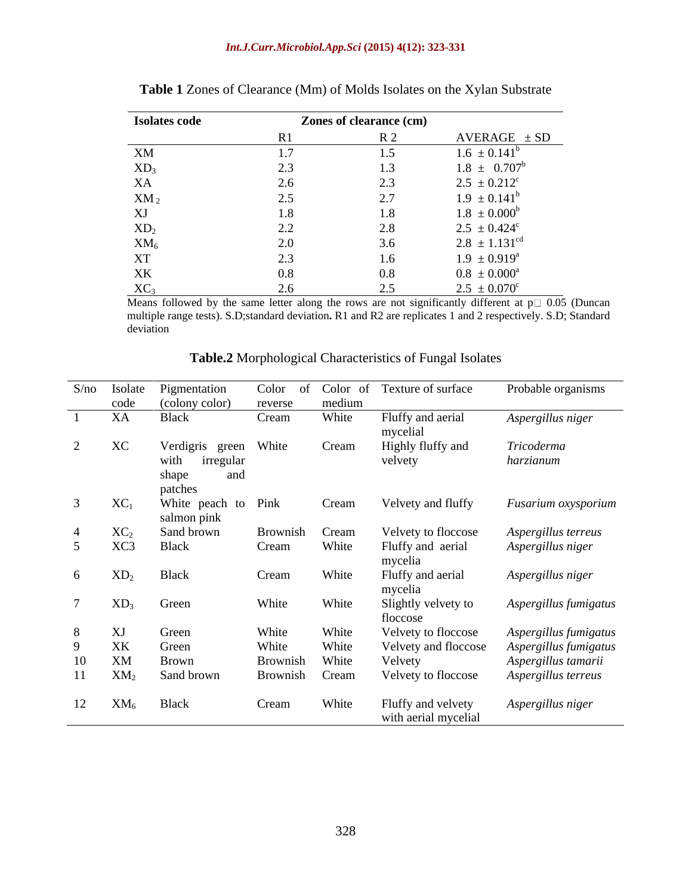| <b>Isolates code</b> |                            | Zones of clearance (cm) |                              |
|----------------------|----------------------------|-------------------------|------------------------------|
|                      |                            |                         | $AVERAGE \pm SD$             |
| XM                   |                            |                         | $1.6 \pm 0.141^b$            |
| $XD_3$               | 2.J                        |                         | $1.8 \pm 0.707^b$            |
| XA                   | 2.6                        | 2.3                     | $2.5 \pm 0.212$ <sup>c</sup> |
| $\mathbf{XM}_2$      | 2.5                        | 2.7                     | $1.9 \pm 0.141^b$            |
| XJ                   | 1.8                        | 1 Q                     | $1.8 \pm 0.000^b$            |
| $XD_2$               | $\Omega$<br>$\overline{a}$ | 2.8                     | $2.5 \pm 0.424$ <sup>c</sup> |
| $XM_6$               | 2.0                        | 3.6                     | $2.8 \pm 1.131^{\text{cd}}$  |
| <b>XT</b>            | $\mathcal{L}$ .            | 16                      | $1.9 \pm 0.919^a$            |
| XK                   | $0.8\,$                    | $0.8\,$                 | $0.8 \pm 0.000^{\text{a}}$   |
| XC <sub>3</sub>      |                            | 25<br>ل د ک             | $2.5 \pm 0.070^{\circ}$      |

| <b>Table 1</b> Zones of Clearance (Mm) of Molds Isolates on the Xylan Substrate |  |
|---------------------------------------------------------------------------------|--|
|                                                                                 |  |

Means followed by the same letter along the rows are not significantly different at  $p \Box 0.05$  (Duncan multiple range tests). S.D;standard deviation. R1 and R2 are replicates 1 and 2 respectively. S.D; Standard deviation deviation **development** and the contract of the contract of the contract of the contract of the contract of the contract of the contract of the contract of the contract of the contract of the contract of the contract of th

|                                    | S/no Isolate    | Pigmentation                       | Color of | Color of | Texture of surface                         | Probable organisms                              |
|------------------------------------|-----------------|------------------------------------|----------|----------|--------------------------------------------|-------------------------------------------------|
|                                    |                 | code (colony color)                | reverse  | medium   |                                            | the contract of the contract of the contract of |
|                                    | XA              | <b>Black</b>                       | Cream    | White    | Fluffy and aerial<br>mycelial              | Aspergillus niger                               |
| $\sim$<br>$\overline{\phantom{a}}$ | XC              | Verdigris<br>green                 | White    | Cream    | Highly fluffy and                          | Tricoderma                                      |
|                                    |                 | with<br>irregular<br>and<br>shape  |          |          | velvety                                    | harzianum                                       |
|                                    |                 | patches                            |          |          |                                            |                                                 |
|                                    | $XC_1$          | White peach to Pink<br>salmon pink |          | Cream    | Velvety and fluffy                         | Fusarium oxysporium                             |
|                                    | $XC_2$          | Sand brown                         | Brownish | Cream    | Velvety to floccose                        | Aspergillus terreus                             |
|                                    | XC3             | <b>Black</b>                       | Cream    | White    | Fluffy and aerial                          | Aspergillus niger                               |
|                                    |                 |                                    |          |          | mycelia                                    |                                                 |
| -6                                 | $\mathrm{XD}_2$ | Black                              | Cream    | White    | Fluffy and aerial<br>mycelia               | Aspergillus niger                               |
|                                    | $XD_3$          | Green                              | White    | White    | Slightly velvety to                        | Aspergillus fumigatus                           |
|                                    |                 |                                    |          |          | floccose                                   |                                                 |
|                                    | XJ              | Green                              | White    | White    | Velvety to floccose                        | Aspergillus fumigatus                           |
| $\Omega$                           | XK              | Green                              | White    | White    | Velvety and floccose                       | Aspergillus fumigatus                           |
| 10                                 | XM              | Brown                              | Brownish | White    | Velvety                                    | Aspergillus tamarii                             |
| 11                                 | $XM_2$          | Sand brown                         | Brownish | Cream    | Velvety to floccose                        | Aspergillus terreus                             |
|                                    | 12 $XM_6$       | Black                              | Cream    | White    | Fluffy and velvety<br>with aerial mycelial | Aspergillus niger                               |

**Table.2** Morphological Characteristics of Fungal Isolates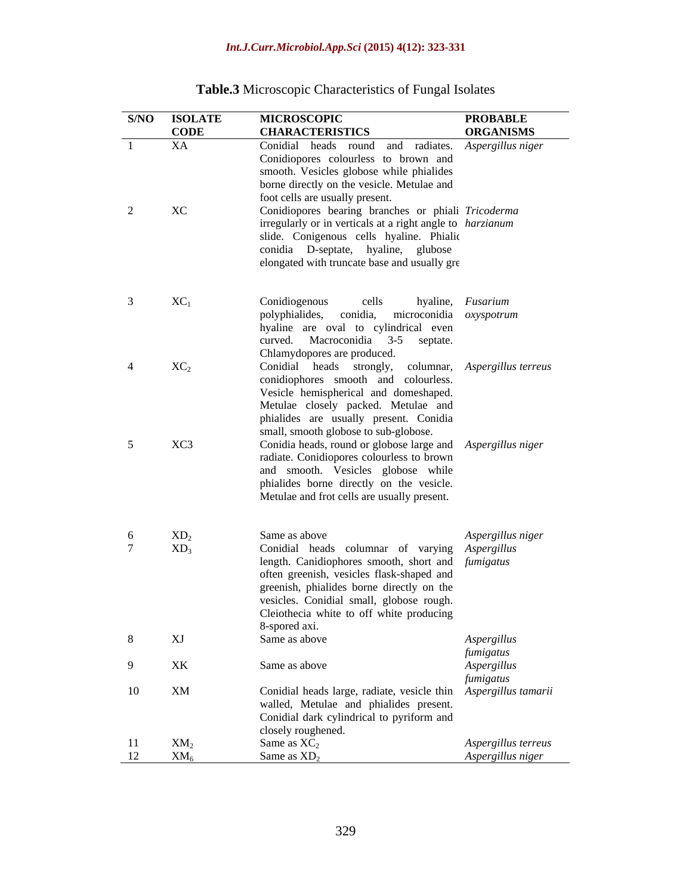|                | <b>S/NO ISOLATE</b>       | <b>MICROSCOPIC</b>                                               | <b>PROBABLE</b>     |
|----------------|---------------------------|------------------------------------------------------------------|---------------------|
|                | <b>CODE</b>               | <b>CHARACTERISTICS</b>                                           | <b>ORGANISMS</b>    |
| -1             | XA                        | Conidial heads round and radiates. Aspergillus niger             |                     |
|                |                           | Conidiopores colourless to brown and                             |                     |
|                |                           | smooth. Vesicles globose while phialides                         |                     |
|                |                           | borne directly on the vesicle. Metulae and                       |                     |
|                |                           | foot cells are usually present.                                  |                     |
| $2$ XC         |                           | Conidiopores bearing branches or phiali Tricoderma               |                     |
|                |                           | irregularly or in verticals at a right angle to <i>harzianum</i> |                     |
|                |                           | slide. Conigenous cells hyaline. Phialic                         |                     |
|                |                           | conidia D-septate, hyaline, glubose                              |                     |
|                |                           | elongated with truncate base and usually gre                     |                     |
|                |                           |                                                                  |                     |
| $\mathcal{R}$  | $XC_1$                    | Conidiogenous<br>cells                                           | hyaline, Fusarium   |
|                |                           | polyphialides, conidia, microconidia oxyspotrum                  |                     |
|                |                           | hyaline are oval to cylindrical even                             |                     |
|                |                           | curved. Macroconidia 3-5 septate.                                |                     |
|                |                           | Chlamydopores are produced.                                      |                     |
| $\overline{4}$ | $XC_2$                    | Conidial heads strongly, columnar, Aspergillus terreus           |                     |
|                |                           | conidiophores smooth and colourless.                             |                     |
|                |                           | Vesicle hemispherical and domeshaped.                            |                     |
|                |                           | Metulae closely packed. Metulae and                              |                     |
|                |                           | phialides are usually present. Conidia                           |                     |
|                |                           | small, smooth globose to sub-globose.                            |                     |
| 5 <sup>5</sup> | XC3                       | Conidia heads, round or globose large and Aspergillus niger      |                     |
|                |                           | radiate. Conidiopores colourless to brown                        |                     |
|                |                           | and smooth. Vesicles globose while                               |                     |
|                |                           | phialides borne directly on the vesicle.                         |                     |
|                |                           | Metulae and frot cells are usually present.                      |                     |
|                |                           |                                                                  |                     |
| 6              | $XD_2$                    | Same as above                                                    | Aspergillus niger   |
| $7^{\circ}$    | $XD_3$                    | Conidial heads columnar of varying Aspergillus                   |                     |
|                |                           | length. Canidiophores smooth, short and fumigatus                |                     |
|                |                           | often greenish, vesicles flask-shaped and                        |                     |
|                |                           | greenish, phialides borne directly on the                        |                     |
|                |                           | vesicles. Conidial small, globose rough.                         |                     |
|                |                           | Cleiothecia white to off white producing                         |                     |
|                |                           | 8-spored axi.                                                    |                     |
| 8              | XJ                        | Same as above                                                    | Aspergillus         |
|                |                           |                                                                  | fumigatus           |
| -9             | XK                        | Same as above                                                    | Aspergillus         |
|                |                           |                                                                  | fumigatus           |
| 10             | XM                        | Conidial heads large, radiate, vesicle thin Aspergillus tamarii  |                     |
|                |                           | walled, Metulae and phialides present.                           |                     |
|                |                           | Conidial dark cylindrical to pyriform and                        |                     |
|                |                           | closely roughened.<br>Same as $XC_2$                             | Aspergillus terreus |
| 11<br>12       | XM <sub>2</sub><br>$XM_6$ | Same as $XD_2$                                                   | Aspergillus niger   |
|                |                           |                                                                  |                     |

# **Table.3** Microscopic Characteristics of Fungal Isolates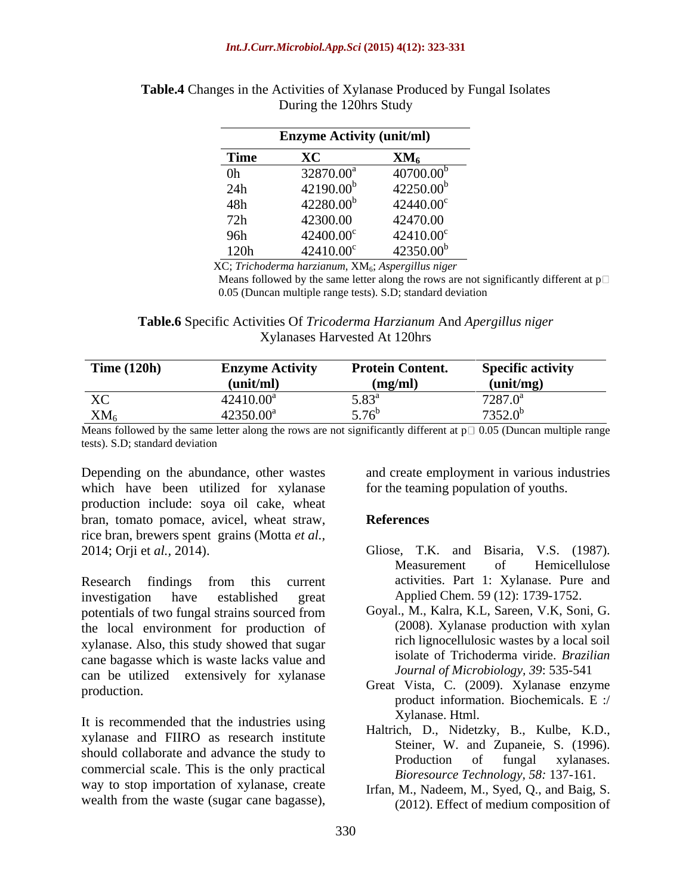#### *Int.J.Curr.Microbiol.App.Sci* **(2015) 4(12): 323-331**

|                | <b>Enzyme Activity (unit/ml)</b> |                         |
|----------------|----------------------------------|-------------------------|
| Time           | $\mathbf{v}$                     | XM <sub>6</sub>         |
| 0 <sub>h</sub> | 32870.00 <sup>a</sup>            | $40700.00$ <sup>t</sup> |
| 24h            | $42190.00^{b}$                   | $42250.00^{b}$          |
| 48h            | $42280.00^{b}$                   | 42440.00°               |
| 72h            | 42300.00                         | 42470.00                |
| 96h            | $42400.00^{\circ}$               | $42410.00^{\circ}$      |
| 120h           | $42410.00^{\circ}$               | $42350.00^{\mathrm{t}}$ |

**Table.4** Changes in the Activities of Xylanase Produced by Fungal Isolates During the 120hrs Study

XC; *Trichoderma harzianum*, XM6; *Aspergillus niger*

Means followed by the same letter along the rows are not significantly different at  $p \Box$ 0.05 (Duncan multiple range tests). S.D; standard deviation

**Table.6** Specific Activities Of *Tricoderma Harzianum* And *Apergillus niger* Xylanases Harvested At 120hrs

| Time $(120h)$               | <b>Enzyme Activity</b> | 'rotein Content. | <b>Specific activity</b> |
|-----------------------------|------------------------|------------------|--------------------------|
|                             |                        |                  |                          |
|                             | (unit/ml)              | (mg/ml           | unıt/mg                  |
| $\overline{r}$<br>$\Lambda$ | $42410.00^\circ$       | J.OJ             | $7287.0^{\text{a}}$      |
|                             |                        |                  |                          |
| XM <sub>6</sub>             | 42350.00 <sup>°</sup>  | $ -$             | $7352.0^b$               |

Means followed by the same letter along the rows are not significantly different at  $p \Box 0.05$  (Duncan multiple range tests). S.D; standard deviation

which have been utilized for xylanase production include: soya oil cake, wheat bran, tomato pomace, avicel, wheat straw, References rice bran, brewers spent grains (Motta *et al.,*

Research findings from this current activities. Part 1: Xylanase. Pure and investigation have established great Applied Chem. 59 (12): 1739-1752. potentials of two fungal strains sourced from the local environment for production of xylanase. Also, this study showed that sugar cane bagasse which is waste lacks value and can be utilized extensively for xylanase Depending on the abundance, other wastes<br>
which have been utilized for vylanase for the teaming population of youths.<br>
production include: soya oil cake, wheat<br>
for the teaming population of youths.<br>
for the chan, brewers

It is recommended that the industries using xylanase and FIIRO as research institute should collaborate and advance the study to<br>Production of fungal xylanases. commercial scale. This is the only practical way to stop importation of xylanase, create

Depending on the abundance, other wastes and create employment in various industries for the teaming population of youths.

#### **References**

- 2014; Orji et *al.,* 2014). Gliose, T.K. and Bisaria, V.S. (1987). Measurement of Hemicellulose activities. Part 1: Xylanase. Pure and Applied Chem. 59 (12): 1739-1752.
	- Goyal., M., Kalra, K.L, Sareen, V.K, Soni, G. (2008). Xylanase production with xylan rich lignocellulosic wastes by a local soil isolate of Trichoderma viride. *Brazilian Journal of Microbiology, 39*: 535-541
- production. Great Vista, C. (2009). Xylanase enzyme product information. Biochemicals. E :/ Xylanase. Html.
	- Haltrich, D., Nidetzky, B., Kulbe, K.D., Steiner, W. and Zupaneie, S. (1996). Production of fungal xylanases. *Bioresource Technology, 58:* 137-161.
	- Irfan, M., Nadeem, M., Syed, Q., and Baig, S. (2012). Effect of medium composition of